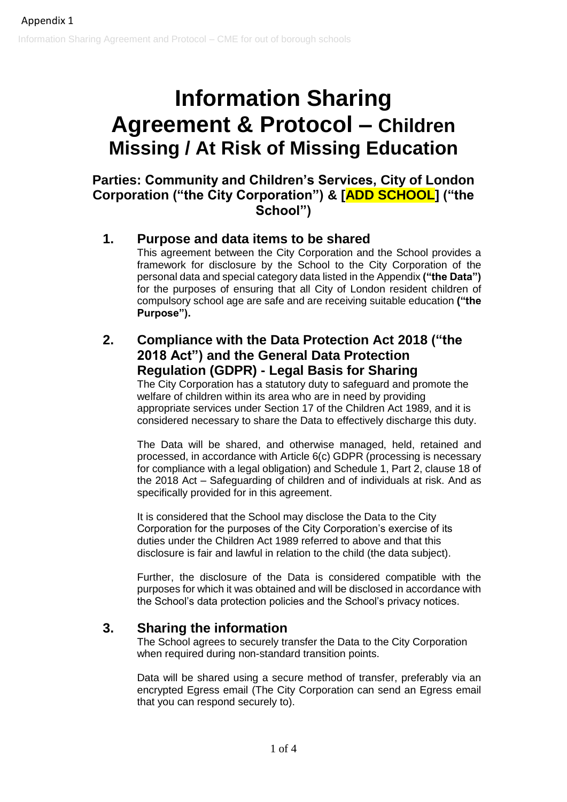# **Information Sharing Agreement & Protocol – Children Missing / At Risk of Missing Education**

**Parties: Community and Children's Services, City of London Corporation ("the City Corporation") & [ADD SCHOOL] ("the School")**

## **1. Purpose and data items to be shared**

This agreement between the City Corporation and the School provides a framework for disclosure by the School to the City Corporation of the personal data and special category data listed in the Appendix **("the Data")** for the purposes of ensuring that all City of London resident children of compulsory school age are safe and are receiving suitable education **("the Purpose").**

## **2. Compliance with the Data Protection Act 2018 ("the 2018 Act") and the General Data Protection Regulation (GDPR) - Legal Basis for Sharing**

The City Corporation has a statutory duty to safeguard and promote the welfare of children within its area who are in need by providing appropriate services under Section 17 of the Children Act 1989, and it is considered necessary to share the Data to effectively discharge this duty.

The Data will be shared, and otherwise managed, held, retained and processed, in accordance with Article 6(c) GDPR (processing is necessary for compliance with a legal obligation) and Schedule 1, Part 2, clause 18 of the 2018 Act – Safeguarding of children and of individuals at risk. And as specifically provided for in this agreement.

It is considered that the School may disclose the Data to the City Corporation for the purposes of the City Corporation's exercise of its duties under the Children Act 1989 referred to above and that this disclosure is fair and lawful in relation to the child (the data subject).

Further, the disclosure of the Data is considered compatible with the purposes for which it was obtained and will be disclosed in accordance with the School's data protection policies and the School's privacy notices.

## **3. Sharing the information**

The School agrees to securely transfer the Data to the City Corporation when required during non-standard transition points.

Data will be shared using a secure method of transfer, preferably via an encrypted Egress email (The City Corporation can send an Egress email that you can respond securely to).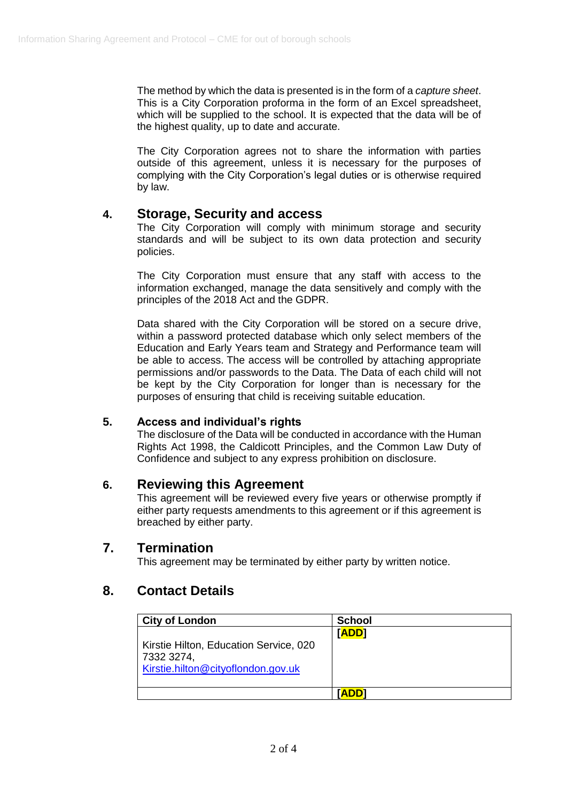The method by which the data is presented is in the form of a *capture sheet*. This is a City Corporation proforma in the form of an Excel spreadsheet, which will be supplied to the school. It is expected that the data will be of the highest quality, up to date and accurate.

The City Corporation agrees not to share the information with parties outside of this agreement, unless it is necessary for the purposes of complying with the City Corporation's legal duties or is otherwise required by law.

## **4. Storage, Security and access**

The City Corporation will comply with minimum storage and security standards and will be subject to its own data protection and security policies.

The City Corporation must ensure that any staff with access to the information exchanged, manage the data sensitively and comply with the principles of the 2018 Act and the GDPR.

Data shared with the City Corporation will be stored on a secure drive, within a password protected database which only select members of the Education and Early Years team and Strategy and Performance team will be able to access. The access will be controlled by attaching appropriate permissions and/or passwords to the Data. The Data of each child will not be kept by the City Corporation for longer than is necessary for the purposes of ensuring that child is receiving suitable education.

#### **5. Access and individual's rights**

The disclosure of the Data will be conducted in accordance with the Human Rights Act 1998, the Caldicott Principles, and the Common Law Duty of Confidence and subject to any express prohibition on disclosure.

#### **6. Reviewing this Agreement**

This agreement will be reviewed every five years or otherwise promptly if either party requests amendments to this agreement or if this agreement is breached by either party.

## **7. Termination**

This agreement may be terminated by either party by written notice.

## **8. Contact Details**

| <b>City of London</b>                                                                      | <b>School</b> |
|--------------------------------------------------------------------------------------------|---------------|
| Kirstie Hilton, Education Service, 020<br>7332 3274,<br>Kirstie.hilton@cityoflondon.gov.uk | [ADD]         |
|                                                                                            | <b>ADD1</b>   |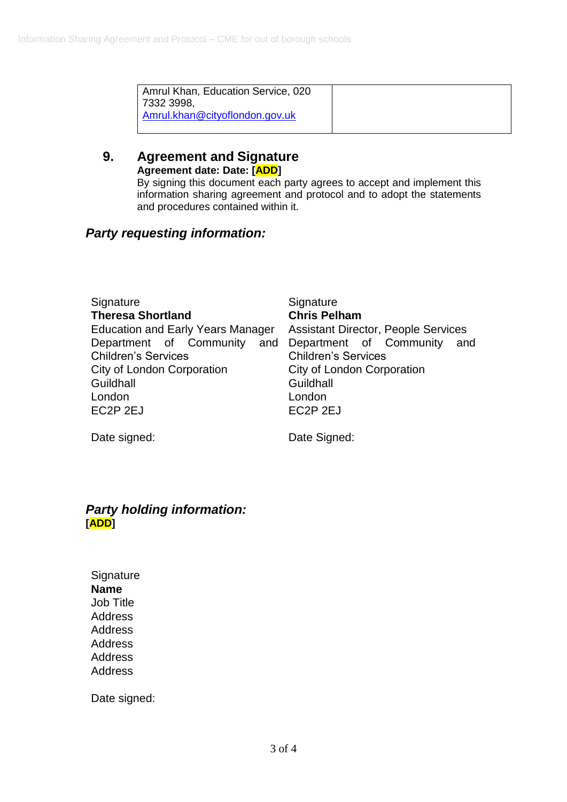| Amrul Khan, Education Service, 020<br>7332 3998. |  |
|--------------------------------------------------|--|
| Amrul.khan@cityoflondon.gov.uk                   |  |

## **9. Agreement and Signature Agreement date: Date: [ADD]**

By signing this document each party agrees to accept and implement this information sharing agreement and protocol and to adopt the statements and procedures contained within it.

## *Party requesting information:*

| EC <sub>2</sub> P <sub>2EJ</sub><br>EC2P <sub>2EJ</sub> | Signature<br><b>Theresa Shortland</b><br>Education and Early Years Manager<br>Department of Community and<br><b>Children's Services</b><br>City of London Corporation<br>Guildhall<br>London | Signature<br><b>Chris Pelham</b><br><b>Assistant Director, People Services</b><br>Department of Community<br>and<br><b>Children's Services</b><br>City of London Corporation<br>Guildhall<br>London |
|---------------------------------------------------------|----------------------------------------------------------------------------------------------------------------------------------------------------------------------------------------------|-----------------------------------------------------------------------------------------------------------------------------------------------------------------------------------------------------|
|---------------------------------------------------------|----------------------------------------------------------------------------------------------------------------------------------------------------------------------------------------------|-----------------------------------------------------------------------------------------------------------------------------------------------------------------------------------------------------|

Date signed: Date Signed:

## *Party holding information:* **[ADD]**

**Signature Name** Job Title Address Address Address Address Address

Date signed: